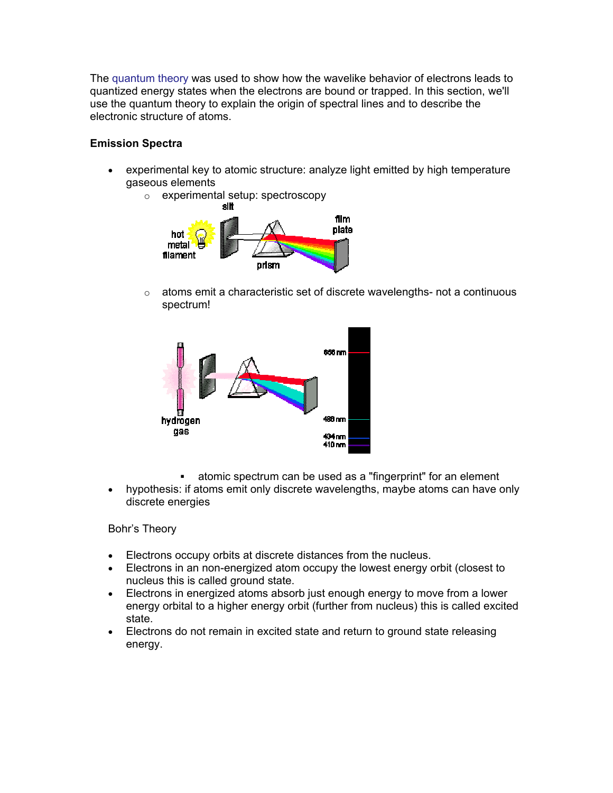The [quantum theory](http://antoine.fsu.umd.edu/chem/senese/101/quantum) was used to show how the wavelike behavior of electrons leads to quantized energy states when the electrons are bound or trapped. In this section, we'll use the quantum theory to explain the origin of spectral lines and to describe the electronic structure of atoms.

# **Emission Spectra**

- experimental key to atomic structure: analyze light emitted by high temperature gaseous elements
	- o experimental setup: spectroscopy



o atoms emit a characteristic set of discrete wavelengths- not a continuous spectrum!



- atomic spectrum can be used as a "fingerprint" for an element
- hypothesis: if atoms emit only discrete wavelengths, maybe atoms can have only discrete energies

# Bohr's Theory

- Electrons occupy orbits at discrete distances from the nucleus.
- Electrons in an non-energized atom occupy the lowest energy orbit (closest to nucleus this is called ground state.
- Electrons in energized atoms absorb just enough energy to move from a lower energy orbital to a higher energy orbit (further from nucleus) this is called excited state.
- Electrons do not remain in excited state and return to ground state releasing energy.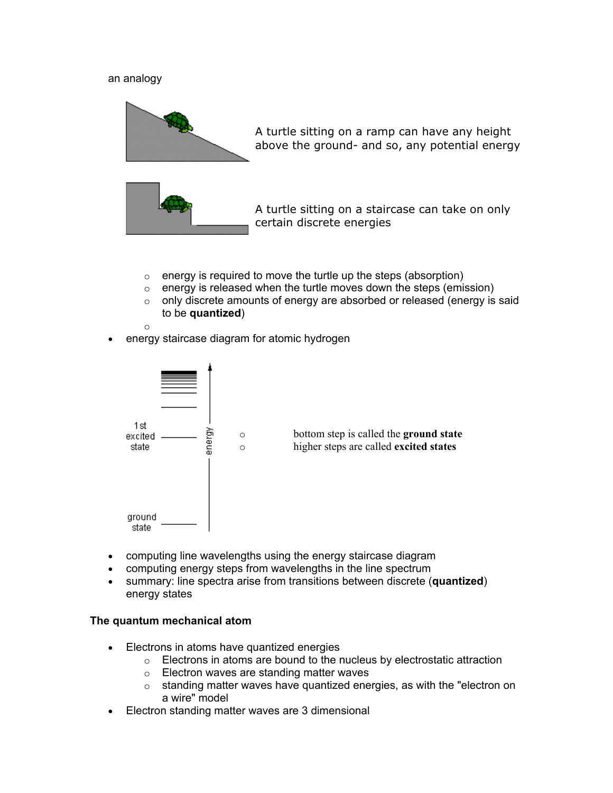#### an analogy



A turtle sitting on a ramp can have any height above the ground- and so, any potential energy



A turtle sitting on a staircase can take on only certain discrete energies

- $\circ$  energy is required to move the turtle up the steps (absorption)
- $\circ$  energy is released when the turtle moves down the steps (emission)
- o only discrete amounts of energy are absorbed or released (energy is said to be **quantized**)

o

energy staircase diagram for atomic hydrogen



- computing line wavelengths using the energy staircase diagram
- computing energy steps from wavelengths in the line spectrum
- summary: line spectra arise from transitions between discrete (**quantized**) energy states

#### **The quantum mechanical atom**

- Electrons in atoms have quantized energies
	- o Electrons in atoms are bound to the nucleus by electrostatic attraction
	- o Electron waves are standing matter waves
	- o standing matter waves have quantized energies, as with the "electron on a wire" model
- Electron standing matter waves are 3 dimensional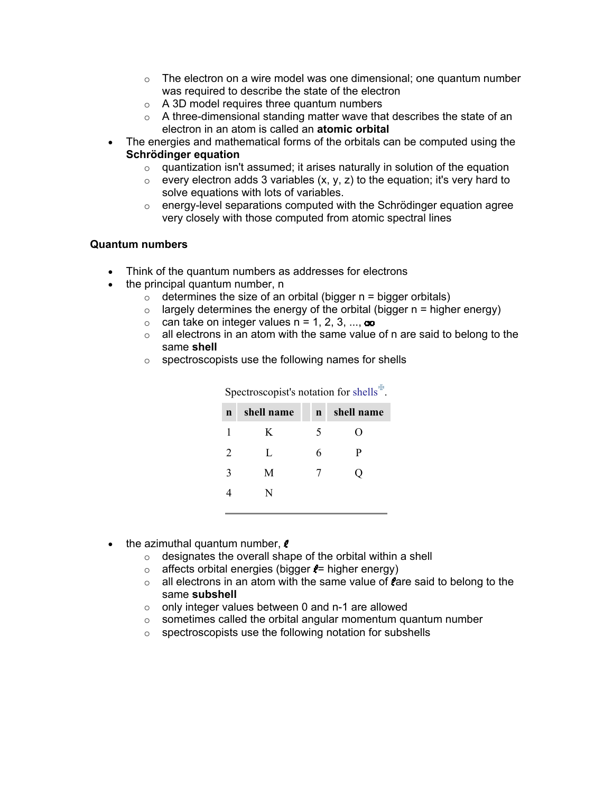- $\circ$  The electron on a wire model was one dimensional; one quantum number was required to describe the state of the electron
- $\circ$  A 3D model requires three quantum numbers
- o A three-dimensional standing matter wave that describes the state of an electron in an atom is called an **atomic orbital**
- The energies and mathematical forms of the orbitals can be computed using the **Schrödinger equation**
	- $\circ$  quantization isn't assumed; it arises naturally in solution of the equation
	- $\circ$  every electron adds 3 variables (x, y, z) to the equation; it's very hard to solve equations with lots of variables.
	- $\circ$  energy-level separations computed with the Schrödinger equation agree very closely with those computed from atomic spectral lines

### **Quantum numbers**

- Think of the quantum numbers as addresses for electrons
- the principal quantum number, n
	- $\circ$  determines the size of an orbital (bigger  $n =$  bigger orbitals)
	- $\circ$  largely determines the energy of the orbital (bigger n = higher energy)
	- $\circ$  can take on integer values  $n = 1, 2, 3, ..., \infty$
	- $\circ$  all electrons in an atom with the same value of n are said to belong to the same **shell**
	- $\circ$  spectroscopists use the following names for shells

| $\beta$     |            |             |                    |  |  |  |
|-------------|------------|-------------|--------------------|--|--|--|
| $\mathbf n$ | shell name | $\mathbf n$ | shell name         |  |  |  |
| 1           | K          | 5           | $\left( \ \right)$ |  |  |  |
| 2           | L          | 6           | P                  |  |  |  |
| 3           | M          | 7           | O                  |  |  |  |
|             | N          |             |                    |  |  |  |
|             |            |             |                    |  |  |  |

Spectroscopist's notation for shells $\mathbf{F}$ 

- $\bullet$  the azimuthal quantum number,  $\ell$ 
	- $\circ$  designates the overall shape of the orbital within a shell
	- $\circ$  affects orbital energies (bigger  $\epsilon$ = higher energy)
	- $\circ$  all electrons in an atom with the same value of fare said to belong to the same **subshell**
	- $\circ$  only integer values between 0 and n-1 are allowed
	- $\circ$  sometimes called the orbital angular momentum quantum number
	- o spectroscopists use the following notation for subshells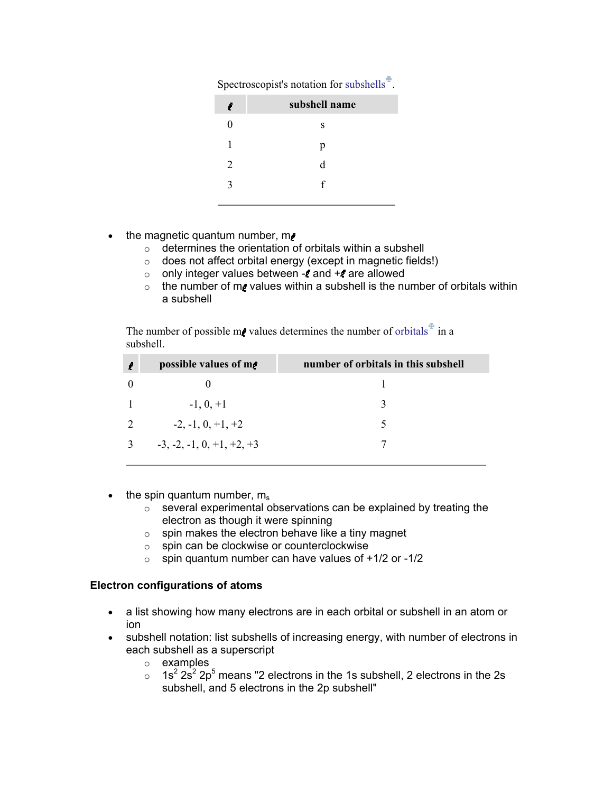| Spectroscopist's notation for subshells $\frac{b_n}{n}$ . |  |  |  |
|-----------------------------------------------------------|--|--|--|
|                                                           |  |  |  |

| ľ | subshell name |
|---|---------------|
| 0 | S             |
| 1 | p             |
| 2 | d             |
| 3 | f             |
|   |               |

- the magnetic quantum number, me
	- o determines the orientation of orbitals within a subshell
	- o does not affect orbital energy (except in magnetic fields!)
	- $\circ$  only integer values between and + are allowed
	- $\circ$  the number of m<sub>s</sub> values within a subshell is the number of orbitals within a subshell

The number of possible m<sub>*v*</sub> values determines the number of orbitals  $\overline{f}$  in a subshell.

| l | possible values of m.       | number of orbitals in this subshell |
|---|-----------------------------|-------------------------------------|
|   |                             |                                     |
|   | $-1, 0, +1$                 |                                     |
|   | $-2, -1, 0, +1, +2$         |                                     |
|   | $-3, -2, -1, 0, +1, +2, +3$ |                                     |

- $\bullet$  the spin quantum number,  $m_s$ 
	- o several experimental observations can be explained by treating the electron as though it were spinning
	- $\circ$  spin makes the electron behave like a tiny magnet
	- o spin can be clockwise or counterclockwise
	- $\circ$  spin quantum number can have values of  $+1/2$  or -1/2

#### **Electron configurations of atoms**

- a list showing how many electrons are in each orbital or subshell in an atom or ion
- subshell notation: list subshells of increasing energy, with number of electrons in each subshell as a superscript
	- o examples
	- $\circ$  1s<sup>2</sup> 2s<sup>2</sup> 2p<sup>5</sup> means "2 electrons in the 1s subshell, 2 electrons in the 2s subshell, and 5 electrons in the 2p subshell"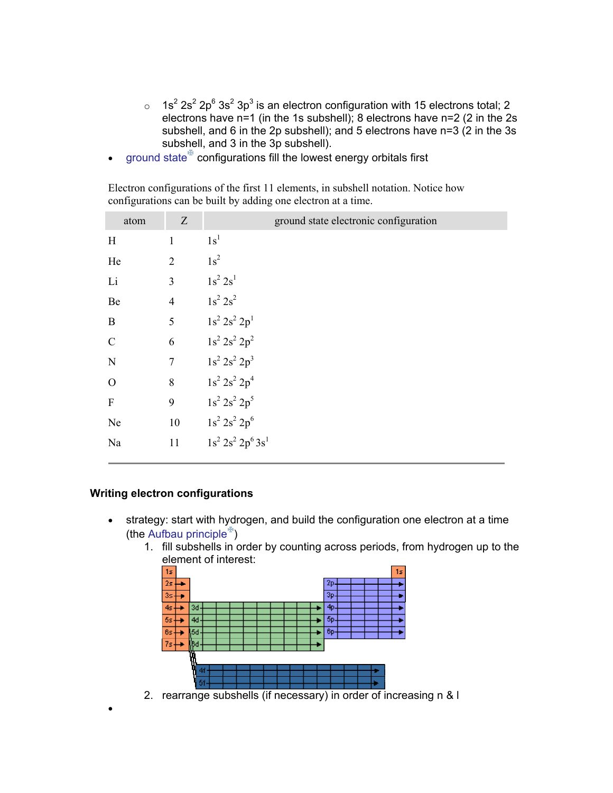- $\circ$  1s<sup>2</sup> 2s<sup>2</sup> 2p<sup>6</sup> 3s<sup>2</sup> 3p<sup>3</sup> is an electron configuration with 15 electrons total; 2 electrons have n=1 (in the 1s subshell); 8 electrons have n=2 (2 in the 2s subshell, and 6 in the 2p subshell); and 5 electrons have n=3 (2 in the 3s subshell, and 3 in the 3p subshell).
- ground state $^{\#}$  configurations fill the lowest energy orbitals first

Electron configurations of the first 11 elements, in subshell notation. Notice how configurations can be built by adding one electron at a time.

| atom                      | Z              | ground state electronic configuration |
|---------------------------|----------------|---------------------------------------|
| H                         | $\mathbf{1}$   | 1s <sup>1</sup>                       |
| He                        | $\overline{2}$ | $1s^2$                                |
| Li                        | 3 $1s^2 2s^1$  |                                       |
| Be                        |                | 4 $1s^2 2s^2$                         |
| $\mathbf{B}$              |                | 5 $1s^2 2s^2 2p^1$                    |
| $\mathcal{C}$             | $6\,$          | $1s^2 2s^2 2p^2$                      |
| $\mathbf N$               |                | 7 $1s^2 2s^2 2p^3$                    |
| $\overline{O}$            | $8\,$          | $1s^2 2s^2 2p^4$                      |
| $\boldsymbol{\mathrm{F}}$ | 9              | $1s^2 2s^2 2p^5$                      |
| Ne                        |                | 10 $1s^2 2s^2 2p^6$                   |
| Na                        | 11             | $1s^2 2s^2 2p^6 3s^1$                 |

# **Writing electron configurations**

•

- strategy: start with hydrogen, and build the configuration one electron at a time (the Aufbau principle $\mathbb{F}$ )
	- 1. fill subshells in order by counting across periods, from hydrogen up to the element of interest:

| 15              |                      | 15 |  |  |  |  |  |
|-----------------|----------------------|----|--|--|--|--|--|
| $2\,\mathrm{s}$ | 26                   |    |  |  |  |  |  |
| 35              | 36                   |    |  |  |  |  |  |
| 4s              | 40<br>3d             |    |  |  |  |  |  |
| 5s              | 50<br>4d             |    |  |  |  |  |  |
| 6s              | 6 <sub>D</sub><br>54 |    |  |  |  |  |  |
| 7s              | R                    |    |  |  |  |  |  |
|                 | г                    |    |  |  |  |  |  |
|                 | 41                   |    |  |  |  |  |  |
|                 | ñί                   |    |  |  |  |  |  |
|                 | $r \circ \sigma r$   |    |  |  |  |  |  |

2. rearrange subshells (if necessary) in order of increasing n & l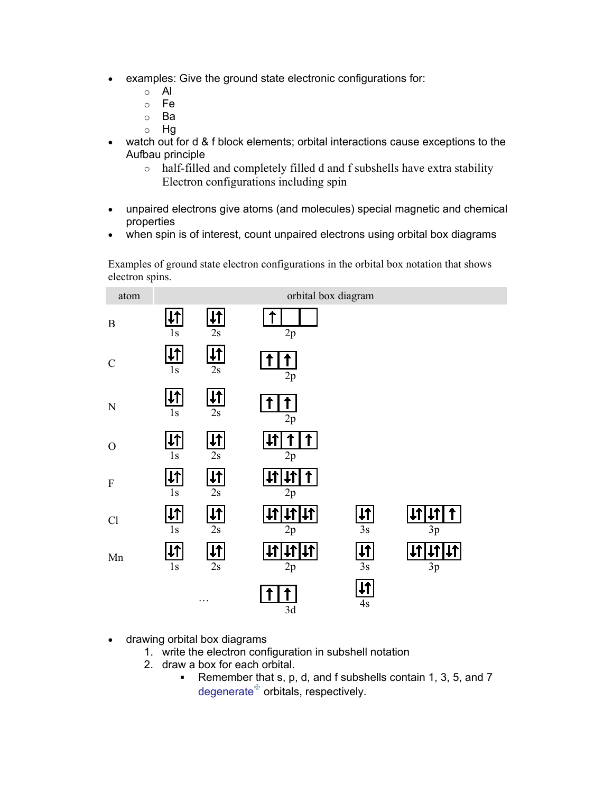- examples: Give the ground state electronic configurations for:
	- o Al
	- o Fe
	- o Ba
	- o Hg
- watch out for d & f block elements; orbital interactions cause exceptions to the Aufbau principle
	- o half-filled and completely filled d and f subshells have extra stability Electron configurations including spin
- unpaired electrons give atoms (and molecules) special magnetic and chemical properties
- when spin is of interest, count unpaired electrons using orbital box diagrams

Examples of ground state electron configurations in the orbital box notation that shows electron spins.



- drawing orbital box diagrams
	- 1. write the electron configuration in subshell notation
	- 2. draw a box for each orbital.
		- Remember that s, p, d, and f subshells contain 1, 3, 5, and 7 degenerate $\mathbb F$  orbitals, respectively.